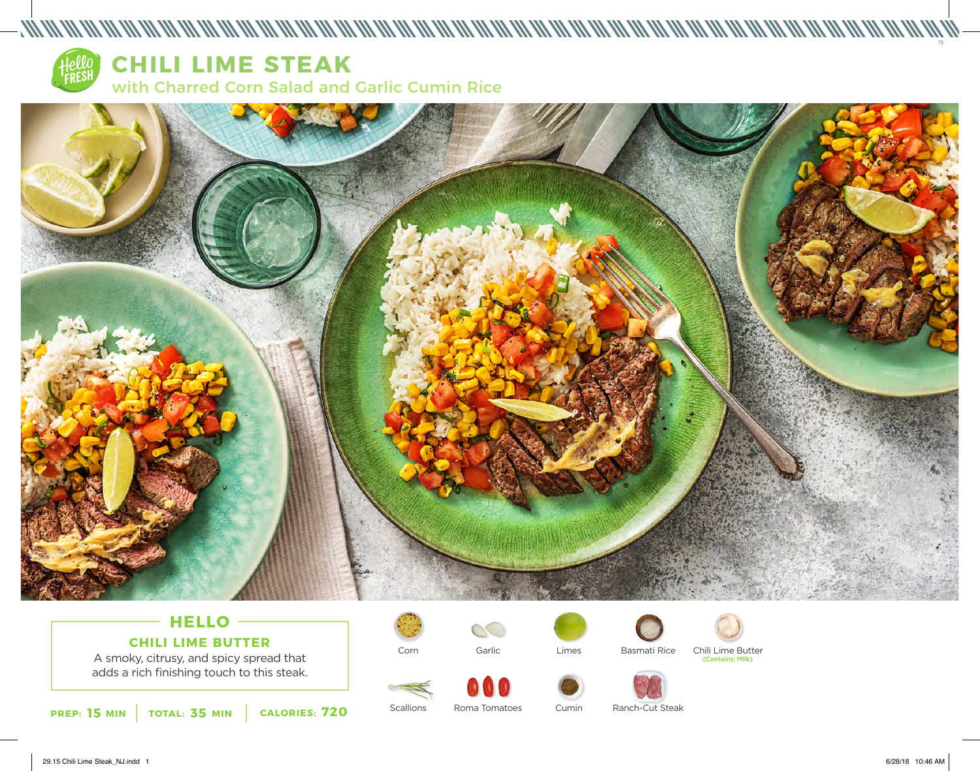

**CHILI LIME STEAK**

with Charred Corn Salad and Garlic Cumin Rice



## **HELLO CHILI LIME BUTTER**

A smoky, citrusy, and spicy spread that adds a rich finishing touch to this steak.

**15 35 720 PREP: MIN TOTAL: MIN CALORIES:**



Corn

**Scallions** 



Roma Tomatoes



Cumin

Basmati Rice Limes Basmati Rice Chili Lime Butter



(Contains: Milk)



Ranch-Cut Steak

29.15 Chili Lime Steak\_NJ.indd 1 6/28/18 10:46 AM

15